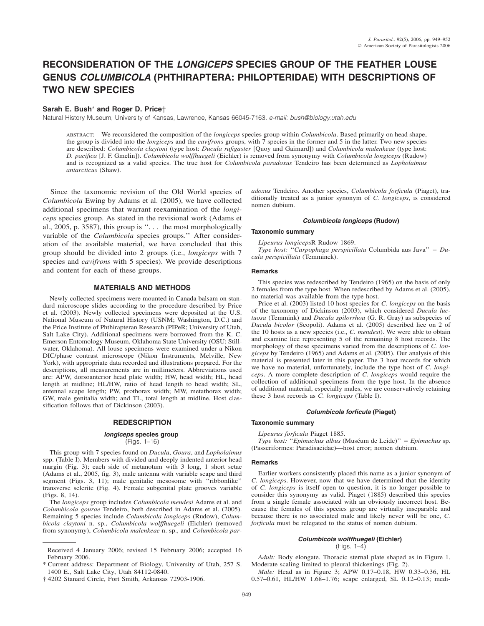# **RECONSIDERATION OF THE** *LONGICEPS* **SPECIES GROUP OF THE FEATHER LOUSE GENUS** *COLUMBICOLA* **(PHTHIRAPTERA: PHILOPTERIDAE) WITH DESCRIPTIONS OF TWO NEW SPECIES**

# **Sarah E. Bush**\* **and Roger D. Price**†

Natural History Museum, University of Kansas, Lawrence, Kansas 66045-7163. *e-mail: bush@biology.utah.edu*

ABSTRACT: We reconsidered the composition of the *longiceps* species group within *Columbicola*. Based primarily on head shape, the group is divided into the *longiceps* and the *cavifrons* groups, with 7 species in the former and 5 in the latter. Two new species are described: *Columbicola claytoni* (type host: *Ducula rufigaster* [Quoy and Gaimard]) and *Columbicola malenkeae* (type host: *D. pacifica* [J. F. Gmelin]). *Columbicola wolffhuegeli* (Eichler) is removed from synonymy with *Columbicola longiceps* (Rudow) and is recognized as a valid species. The true host for *Columbicola paradoxus* Tendeiro has been determined as *Lopholaimus antarcticus* (Shaw).

Since the taxonomic revision of the Old World species of *Columbicola* Ewing by Adams et al. (2005), we have collected additional specimens that warrant reexamination of the *longiceps* species group. As stated in the revisional work (Adams et al., 2005, p. 3587), this group is  $\ldots$  the most morphologically variable of the *Columbicola* species groups.'' After consideration of the available material, we have concluded that this group should be divided into 2 groups (i.e., *longiceps* with 7 species and *cavifrons* with 5 species). We provide descriptions and content for each of these groups.

# **MATERIALS AND METHODS**

Newly collected specimens were mounted in Canada balsam on standard microscope slides according to the procedure described by Price et al. (2003). Newly collected specimens were deposited at the U.S. National Museum of Natural History (USNM; Washington, D.C.) and the Price Institute of Phthirapteran Research (PIPeR; University of Utah, Salt Lake City). Additional specimens were borrowed from the K. C. Emerson Entomology Museum, Oklahoma State University (OSU; Stillwater, Oklahoma). All louse specimens were examined under a Nikon DIC/phase contrast microscope (Nikon Instruments, Melville, New York), with appropriate data recorded and illustrations prepared. For the descriptions, all measurements are in millimeters. Abbreviations used are: APW, dorsoanterior head plate width; HW, head width; HL, head length at midline; HL/HW, ratio of head length to head width; SL, antennal scape length; PW, prothorax width; MW, metathorax width; GW, male genitalia width; and TL, total length at midline. Host classification follows that of Dickinson (2003).

# **REDESCRIPTION**

# *longiceps* **species group**

(Figs. 1–16)

This group with 7 species found on *Ducula*, *Goura*, and *Lopholaimus* spp. (Table I). Members with divided and deeply indented anterior head margin (Fig. 3); each side of metanotum with 3 long, 1 short setae (Adams et al., 2005, fig. 3), male antenna with variable scape and third segment (Figs. 3, 11); male genitalic mesosome with ''ribbonlike'' transverse sclerite (Fig. 4). Female subgenital plate grooves variable (Figs. 8, 14).

The *longiceps* group includes *Columbicola mendesi* Adams et al. and *Columbicola gourae* Tendeiro, both described in Adams et al. (2005). Remaining 5 species include *Columbicola longiceps* (Rudow), *Columbicola claytoni* n. sp., *Columbicola wolffhuegeli* (Eichler) (removed from synonymy), *Columbicola malenkeae* n. sp., and *Columbicola par-* *adoxus* Tendeiro. Another species, *Columbicola forficula* (Piaget), traditionally treated as a junior synonym of *C. longiceps*, is considered nomen dubium.

## *Columbicola longiceps* **(Rudow)**

#### **Taxonomic summary**

*Lipeurus longiceps*R Rudow 1869.

*Type host:* ''*Carpophaga perspicillata* Columbida aus Java'' - *Ducula perspicillata* (Temminck).

#### **Remarks**

This species was redescribed by Tendeiro (1965) on the basis of only 2 females from the type host. When redescribed by Adams et al. (2005), no material was available from the type host.

Price et al. (2003) listed 10 host species for *C. longiceps* on the basis of the taxonomy of Dickinson (2003), which considered *Ducula luctuosa* (Temmink) and *Ducula spilorrhoa* (G. R. Gray) as subspecies of *Ducula bicolor* (Scopoli). Adams et al. (2005) described lice on 2 of the 10 hosts as a new species (i.e., *C. mendesi*). We were able to obtain and examine lice representing 5 of the remaining 8 host records. The morphology of these specimens varied from the descriptions of *C. longiceps* by Tendeiro (1965) and Adams et al. (2005). Our analysis of this material is presented later in this paper. The 3 host records for which we have no material, unfortunately, include the type host of *C. longiceps*. A more complete description of *C. longiceps* would require the collection of additional specimens from the type host. In the absence of additional material, especially males, we are conservatively retaining these 3 host records as *C. longiceps* (Table I).

# *Columbicola forficula* **(Piaget)**

#### **Taxonomic summary**

*Lipeurus forficula* Piaget 1885.

*Type host:* "*Epimachus albus* (Muséum de Leide)" = *Epimachus* sp. (Passeriformes: Paradisaeidae)—host error; nomen dubium.

#### **Remarks**

Earlier workers consistently placed this name as a junior synonym of *C. longiceps*. However, now that we have determined that the identity of *C. longiceps* is itself open to question, it is no longer possible to consider this synonymy as valid. Piaget (1885) described this species from a single female associated with an obviously incorrect host. Because the females of this species group are virtually inseparable and because there is no associated male and likely never will be one, *C. forficula* must be relegated to the status of nomen dubium.

## *Columbicola wolffhuegeli* **(Eichler)**  $(Figs. 1-4)$

*Adult:* Body elongate. Thoracic sternal plate shaped as in Figure 1. Moderate scaling limited to pleural thickenings (Fig. 2).

*Male:* Head as in Figure 3; APW 0.17–0.18, HW 0.33–0.36, HL 0.57–0.61, HL/HW 1.68–1.76; scape enlarged, SL 0.12–0.13; medi-

Received 4 January 2006; revised 15 February 2006; accepted 16 February 2006.

<sup>\*</sup> Current address: Department of Biology, University of Utah, 257 S. 1400 E., Salt Lake City, Utah 84112-0840.

<sup>† 4202</sup> Stanard Circle, Fort Smith, Arkansas 72903-1906.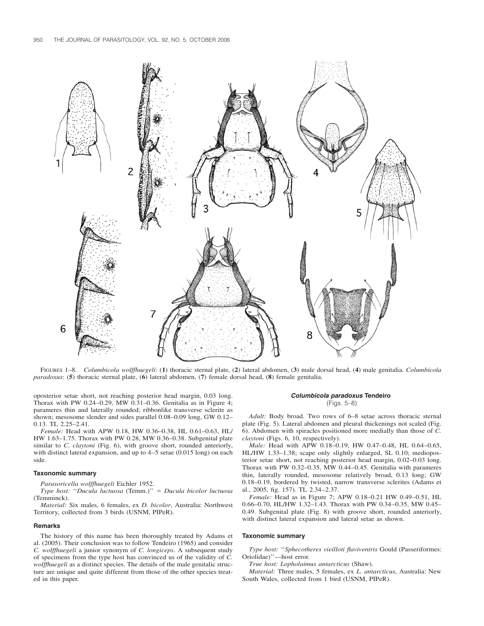

FIGURES 1–8. *Columbicola wolffhuegeli*: (**1**) thoracic sternal plate, (**2**) lateral abdomen, (**3**) male dorsal head, (**4**) male genitalia. *Columbicola paradoxus*: (**5**) thoracic sternal plate, (**6**) lateral abdomen, (**7**) female dorsal head, (**8**) female genitalia.

oposterior setae short, not reaching posterior head margin, 0.03 long. Thorax with PW 0.24–0.29, MW  $\overline{0.31}$ –0.36. Genitalia as in Figure 4; parameres thin and laterally rounded; ribbonlike transverse sclerite as shown; mesosome slender and sides parallel 0.08–0.09 long, GW 0.12– 0.13. TL 2.25–2.41

*Female:* Head with APW 0.18, HW 0.36–0.38, HL 0.61–0.63, HL/ HW 1.63–1.75. Thorax with PW 0.28, MW 0.36–0.38. Subgenital plate similar to *C. claytoni* (Fig. 6), with groove short, rounded anteriorly, with distinct lateral expansion, and up to 4–5 setae (0.015 long) on each side.

## **Taxonomic summary**

*Parasoricella wolffhuegeli* Eichler 1952.

*Type host:* ''*Ducula luctuosa* (Temm.)'' - *Ducula bicolor luctuosa* (Temminck).

*Material:* Six males, 6 females, ex *D. bicolor*, Australia: Northwest Territory, collected from 3 birds (USNM, PIPeR).

#### **Remarks**

The history of this name has been thoroughly treated by Adams et al. (2005). Their conclusion was to follow Tendeiro (1965) and consider *C. wolffhuegeli* a junior synonym of *C. longiceps*. A subsequent study of specimens from the type host has convinced us of the validity of *C. wolffhuegeli* as a distinct species. The details of the male genitalic structure are unique and quite different from those of the other species treated in this paper.

## *Columbicola paradoxus* **Tendeiro** (Figs. 5–8)

*Adult:* Body broad. Two rows of 6–8 setae across thoracic sternal plate (Fig. 5). Lateral abdomen and pleural thickenings not scaled (Fig. 6). Abdomen with spiracles positioned more medially than those of *C. claytoni* (Figs. 6, 10, respectively).

*Male:* Head with APW 0.18–0.19, HW 0.47–0.48, HL 0.64–0.65, HL/HW 1.33–1.38; scape only slightly enlarged, SL 0.10; medioposterior setae short, not reaching posterior head margin, 0.02–0.03 long. Thorax with PW 0.32–0.35, MW 0.44–0.45. Genitalia with parameres thin, laterally rounded, mesosome relatively broad, 0.13 long; GW 0.18–0.19, bordered by twisted, narrow transverse sclerites (Adams et al., 2005, fig. 157). TL 2.34–2.37.

*Female:* Head as in Figure 7; APW 0.18–0.21 HW 0.49–0.51, HL 0.66–0.70, HL/HW 1.32–1.43. Thorax with PW 0.34–0.35, MW 0.45– 0.49. Subgenital plate (Fig. 8) with groove short, rounded anteriorly, with distinct lateral expansion and lateral setae as shown.

#### **Taxonomic summary**

*Type host:* ''*Sphecotheres vieilloti flaviventris* Gould (Passeriformes: Oriolidae)''—host error.

*True host: Lopholaimus antarcticus* (Shaw).

*Material:* Three males, 5 females, ex *L. antarcticus*, Australia: New South Wales, collected from 1 bird (USNM, PIPeR).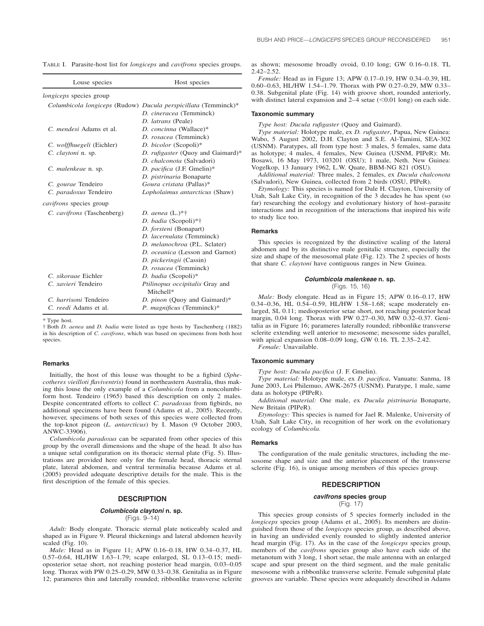| Louse species                  | Host species                                                                              |
|--------------------------------|-------------------------------------------------------------------------------------------|
| longiceps species group        |                                                                                           |
|                                | Columbicola longiceps (Rudow) Ducula perspicillata (Temminck)*<br>D. cineracea (Temminck) |
|                                | D. latrans (Peale)                                                                        |
| C. <i>mendesi</i> Adams et al. | D. concinna (Wallace)*                                                                    |
|                                | D. rosacea (Temminck)                                                                     |
| C. wolffhuegeli (Eichler)      | D. bicolor (Scopoli)*                                                                     |
| C. claytoni n. sp.             | D. rufigaster (Quoy and Gaimard)*                                                         |
|                                | D. chalconota (Salvadori)                                                                 |
| C. malenkeae n. sp.            | D. pacifica (J.F. Gmelin)*                                                                |
|                                | D. pistrinaria Bonaparte                                                                  |
| C. gourae Tendeiro             | Goura cristata (Pallas)*                                                                  |
| C. paradoxus Tendeiro          | Lopholaimus antarcticus (Shaw)                                                            |
| <i>cavifrons</i> species group |                                                                                           |
| C. cavifrons (Taschenberg)     | <i>D. aenea</i> $(L.)*†$                                                                  |
|                                | D. badia (Scopoli)*†                                                                      |
|                                | D. forsteni (Bonapart)                                                                    |
|                                | D. lacernulata (Temminck)                                                                 |
|                                | D. melanochroa (P.L. Sclater)                                                             |
|                                | D. oceanica (Lesson and Garnot)                                                           |
|                                | D. pickeringii (Cassin)                                                                   |
|                                | D. rosacea (Temminck)                                                                     |
| C. sikorage Eichler            | D. badia (Scopoli)*                                                                       |
| C. xavieri Tendeiro            | Ptilinopus occipitalis Gray and<br>Mitchell*                                              |
| C. harrisoni Tendeiro          | D. pinon (Quoy and Gaimard)*                                                              |
| C. reedi Adams et al.          | P. magnificus (Temminck)*                                                                 |

TABLE I. Parasite-host list for *longiceps* and *cavifrons* species groups.

\* Type host.

† Both *D. aenea* and *D. badia* were listed as type hosts by Taschenberg (1882) in his description of *C. cavifrons*, which was based on specimens from both host species.

## **Remarks**

Initially, the host of this louse was thought to be a figbird (*Sphecotheres vieilloti flaviventris*) found in northeastern Australia, thus making this louse the only example of a *Columbicola* from a noncolumbiform host. Tendeiro (1965) based this description on only 2 males. Despite concentrated efforts to collect *C. paradoxus* from figbirds, no additional specimens have been found (Adams et al., 2005). Recently, however, specimens of both sexes of this species were collected from the top-knot pigeon (*L. antarcticus*) by I. Mason (9 October 2003, ANWC-33906).

*Columbicola paradoxus* can be separated from other species of this group by the overall dimensions and the shape of the head. It also has a unique setal configuration on its thoracic sternal plate (Fig. 5). Illustrations are provided here only for the female head, thoracic sternal plate, lateral abdomen, and ventral terminalia because Adams et al. (2005) provided adequate descriptive details for the male. This is the first description of the female of this species.

# **DESCRIPTION**

### *Columbicola claytoni* **n. sp.** (Figs. 9–14)

*Adult:* Body elongate. Thoracic sternal plate noticeably scaled and shaped as in Figure 9. Pleural thickenings and lateral abdomen heavily scaled (Fig. 10).

*Male:* Head as in Figure 11; APW 0.16–0.18, HW 0.34–0.37, HL 0.57–0.64, HL/HW 1.63–1.79; scape enlarged, SL 0.13–0.15; medioposterior setae short, not reaching posterior head margin, 0.03–0.05 long. Thorax with PW 0.25–0.29, MW 0.33–0.38. Genitalia as in Figure 12; parameres thin and laterally rounded; ribbonlike transverse sclerite as shown; mesosome broadly ovoid, 0.10 long; GW 0.16–0.18. TL 2.42–2.52.

*Female:* Head as in Figure 13; APW 0.17–0.19, HW 0.34–0.39, HL 0.60–0.63, HL/HW 1.54–1.79. Thorax with PW 0.27–0.29, MW 0.33– 0.38. Subgenital plate (Fig. 14) with groove short, rounded anteriorly, with distinct lateral expansion and  $2-4$  setae (<0.01 long) on each side.

#### **Taxonomic summary**

*Type host: Ducula rufigaster* (Quoy and Gaimard).

*Type material:* Holotype male, ex *D. rufigaster*, Papua, New Guinea: Wabo, 5 August 2002, D.H. Clayton and S.E. Al-Tamimi, SEA-302 (USNM). Paratypes, all from type host: 3 males, 5 females, same data as holotype; 4 males, 4 females, New Guinea (USNM, PIPeR): Mt. Bosawi, 16 May 1973, 103201 (OSU); 1 male, Neth. New Guinea: Vogelkop, 13 January 1962, L.W. Quate, BBM-NG 821 (OSU).

*Additional material:* Three males, 2 females, ex *Ducula chalconota* (Salvadori), New Guinea, collected from 2 birds (OSU, PIPeR).

*Etymology:* This species is named for Dale H. Clayton, University of Utah, Salt Lake City, in recognition of the 3 decades he has spent (so far) researching the ecology and evolutionary history of host–parasite interactions and in recognition of the interactions that inspired his wife to study lice too.

## **Remarks**

This species is recognized by the distinctive scaling of the lateral abdomen and by its distinctive male genitalic structure, especially the size and shape of the mesosomal plate (Fig. 12). The 2 species of hosts that share *C. claytoni* have contiguous ranges in New Guinea.

# *Columbicola malenkeae* **n. sp.**

(Figs. 15, 16)

*Male:* Body elongate. Head as in Figure 15; APW 0.16–0.17, HW 0.34–0.36, HL 0.54–0.59, HL/HW 1.58–1.68; scape moderately enlarged, SL 0.11; medioposterior setae short, not reaching posterior head margin, 0.04 long. Thorax with PW 0.27–0.30, MW 0.32–0.37. Genitalia as in Figure 16; parameres laterally rounded; ribbonlike transverse sclerite extending well anterior to mesosome; mesosome sides parallel, with apical expansion 0.08–0.09 long, GW 0.16. TL 2.35–2.42. *Female:* Unavailable.

# **Taxonomic summary**

*Type host: Ducula pacifica* (J. F. Gmelin).

*Type material:* Holotype male, ex *D. pacifica*, Vanuatu: Sanma, 18 June 2003, Loi Philemuo, AWK-2675 (USNM). Paratype, 1 male, same data as holotype (PIPeR).

*Additional material:* One male, ex *Ducula pistrinaria* Bonaparte, New Britain (PIPeR).

*Etymology:* This species is named for Jael R. Malenke, University of Utah, Salt Lake City, in recognition of her work on the evolutionary ecology of *Columbicola*.

#### **Remarks**

The configuration of the male genitalic structures, including the mesosome shape and size and the anterior placement of the transverse sclerite (Fig. 16), is unique among members of this species group.

## **REDESCRIPTION**

#### *cavifrons* **species group**

(Fig. 17)

This species group consists of 5 species formerly included in the *longiceps* species group (Adams et al., 2005). Its members are distinguished from those of the *longiceps* species group, as described above, in having an undivided evenly rounded to slightly indented anterior head margin (Fig. 17). As in the case of the *longiceps* species group, members of the *cavifrons* species group also have each side of the metanotum with 3 long, 1 short setae, the male antenna with an enlarged scape and spur present on the third segment, and the male genitalic mesosome with a ribbonlike transverse sclerite. Female subgenital plate grooves are variable. These species were adequately described in Adams